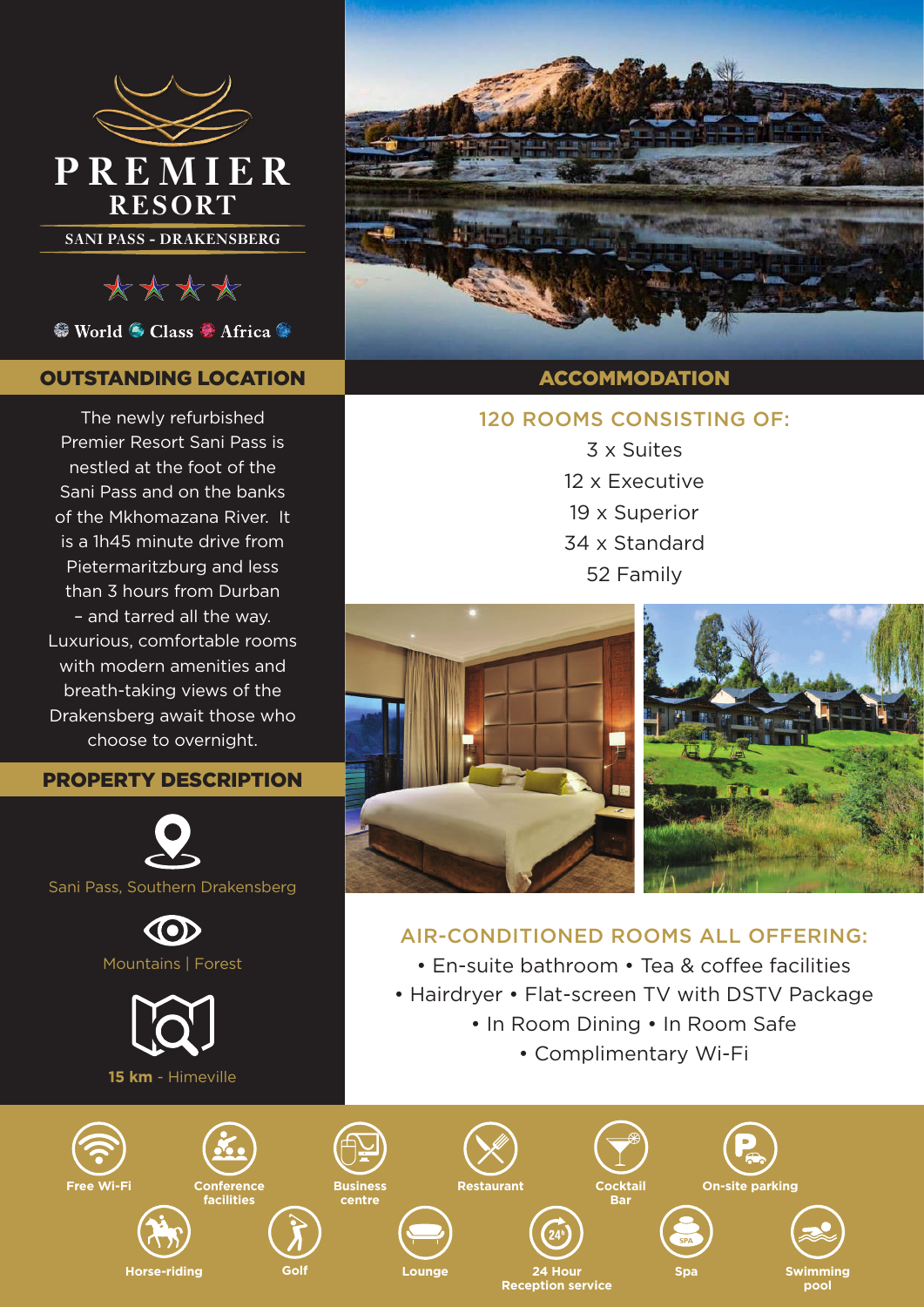

\*\*\*\*

<sup>●</sup> World ● Class ● Africa ●

# OUTSTANDING LOCATION

The newly refurbished Premier Resort Sani Pass is nestled at the foot of the Sani Pass and on the banks of the Mkhomazana River. It is a 1h45 minute drive from Pietermaritzburg and less than 3 hours from Durban – and tarred all the way. Luxurious, comfortable rooms with modern amenities and breath-taking views of the Drakensberg await those who choose to overnight.

#### PROPERTY DESCRIPTION









## ACCOMMODATION

# 120 ROOMS CONSISTING OF:

3 x Suites 12 x Executive 19 x Superior 34 x Standard 52 Family



# AIR-CONDITIONED ROOMS ALL OFFERING:

- En-suite bathroom Tea & coffee facilities
- Hairdryer Flat-screen TV with DSTV Package
	- In Room Dining In Room Safe
		- Complimentary Wi-Fi

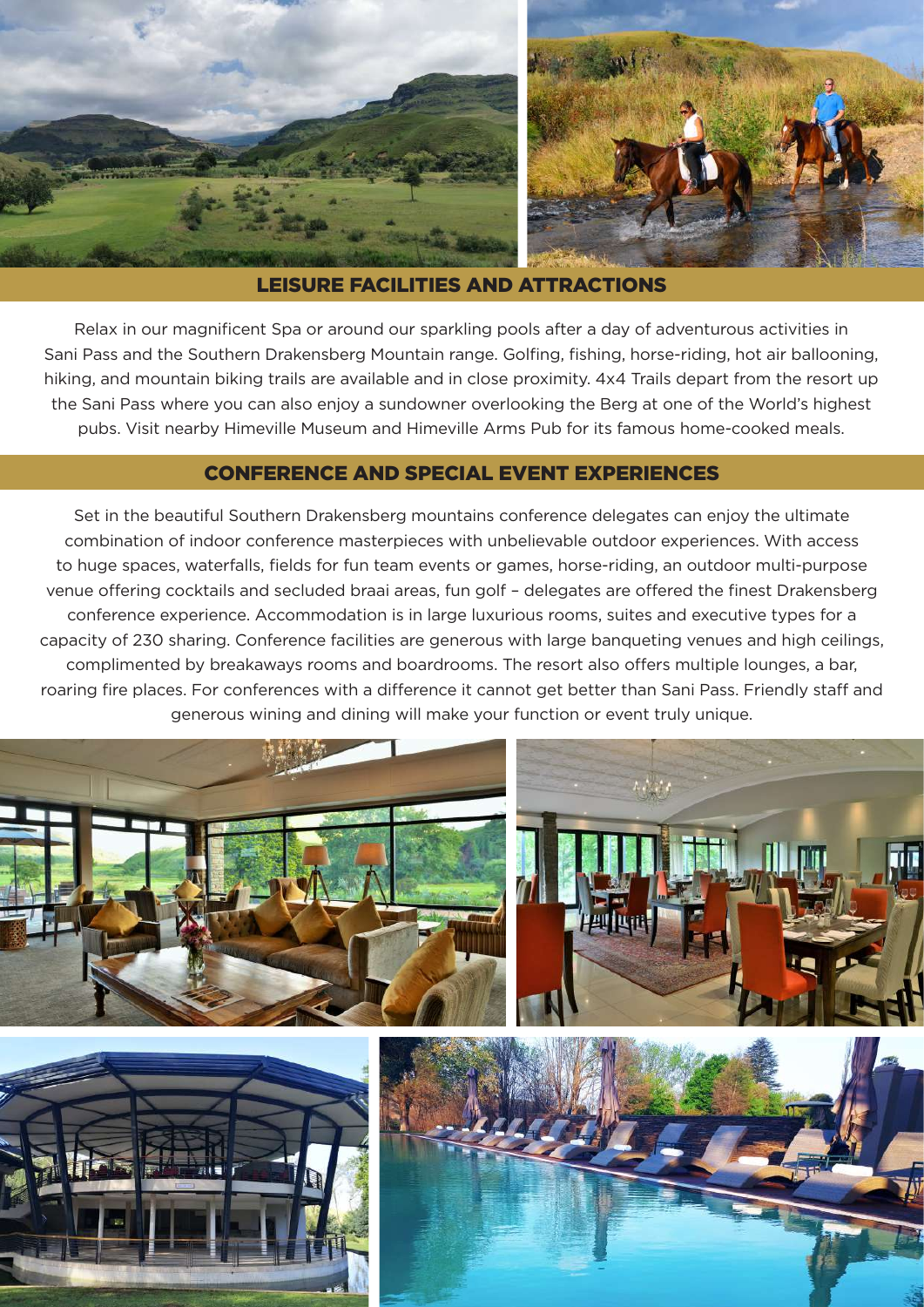

#### LEISURE FACILITIES AND ATTRACTIONS

Relax in our magnificent Spa or around our sparkling pools after a day of adventurous activities in Sani Pass and the Southern Drakensberg Mountain range. Golfing, fishing, horse-riding, hot air ballooning, hiking, and mountain biking trails are available and in close proximity. 4x4 Trails depart from the resort up the Sani Pass where you can also enjoy a sundowner overlooking the Berg at one of the World's highest pubs. Visit nearby Himeville Museum and Himeville Arms Pub for its famous home-cooked meals.

### CONFERENCE AND SPECIAL EVENT EXPERIENCES

Set in the beautiful Southern Drakensberg mountains conference delegates can enjoy the ultimate combination of indoor conference masterpieces with unbelievable outdoor experiences. With access to huge spaces, waterfalls, fields for fun team events or games, horse-riding, an outdoor multi-purpose venue offering cocktails and secluded braai areas, fun golf – delegates are offered the finest Drakensberg conference experience. Accommodation is in large luxurious rooms, suites and executive types for a capacity of 230 sharing. Conference facilities are generous with large banqueting venues and high ceilings, complimented by breakaways rooms and boardrooms. The resort also offers multiple lounges, a bar, roaring fire places. For conferences with a difference it cannot get better than Sani Pass. Friendly staff and generous wining and dining will make your function or event truly unique.